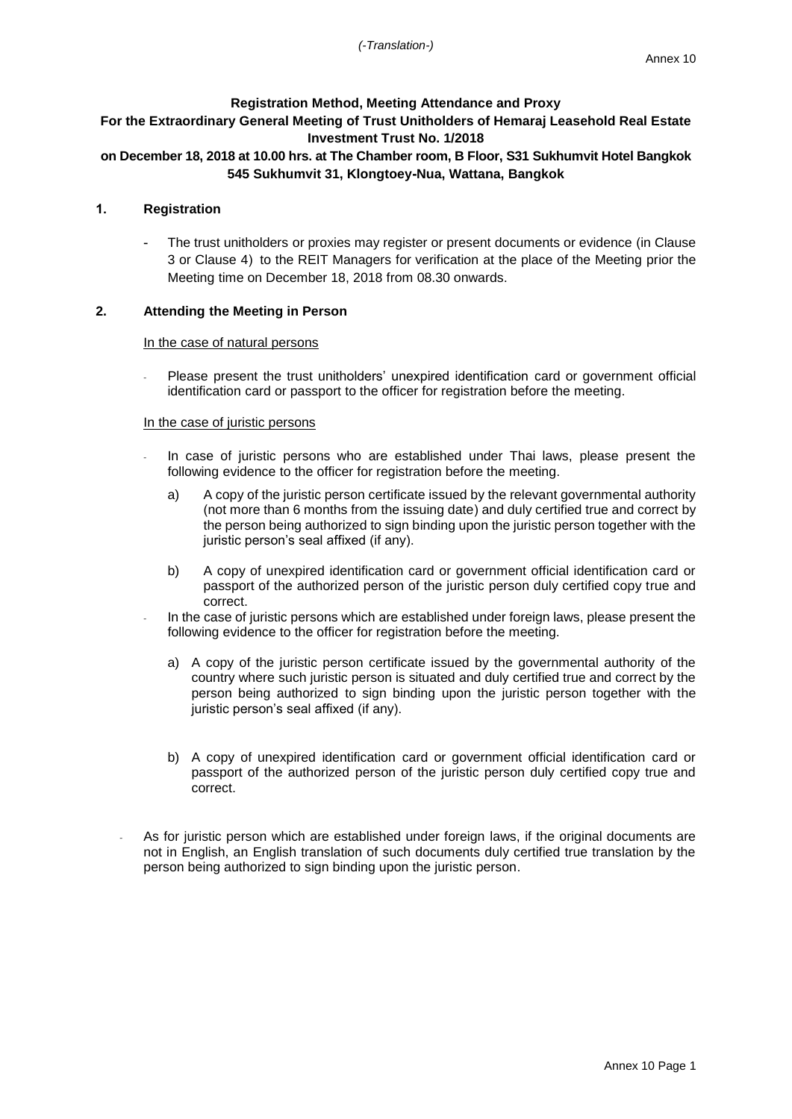## **Registration Method, Meeting Attendance and Proxy**

# **For the Extraordinary General Meeting of Trust Unitholders of Hemaraj Leasehold Real Estate Investment Trust No. 1/2018**

# **on December 18, 2018 at 10.00 hrs. at The Chamber room, B Floor, S31 Sukhumvit Hotel Bangkok 545 Sukhumvit 31, Klongtoey-Nua, Wattana, Bangkok**

### **1. Registration**

The trust unitholders or proxies may register or present documents or evidence (in Clause 3 or Clause 4) to the REIT Managers for verification at the place of the Meeting prior the Meeting time on December 18, 2018 from 08.30 onwards.

## **2. Attending the Meeting in Person**

#### In the case of natural persons

- Please present the trust unitholders' unexpired identification card or government official identification card or passport to the officer for registration before the meeting.

#### In the case of juristic persons

- In case of juristic persons who are established under Thai laws, please present the following evidence to the officer for registration before the meeting.
	- a) A copy of the juristic person certificate issued by the relevant governmental authority (not more than 6 months from the issuing date) and duly certified true and correct by the person being authorized to sign binding upon the juristic person together with the juristic person's seal affixed (if any).
	- b) A copy of unexpired identification card or government official identification card or passport of the authorized person of the juristic person duly certified copy true and correct.
	- In the case of juristic persons which are established under foreign laws, please present the following evidence to the officer for registration before the meeting.
		- a) A copy of the juristic person certificate issued by the governmental authority of the country where such juristic person is situated and duly certified true and correct by the person being authorized to sign binding upon the juristic person together with the juristic person's seal affixed (if any).
		- b) A copy of unexpired identification card or government official identification card or passport of the authorized person of the juristic person duly certified copy true and correct.
- As for juristic person which are established under foreign laws, if the original documents are not in English, an English translation of such documents duly certified true translation by the person being authorized to sign binding upon the juristic person.